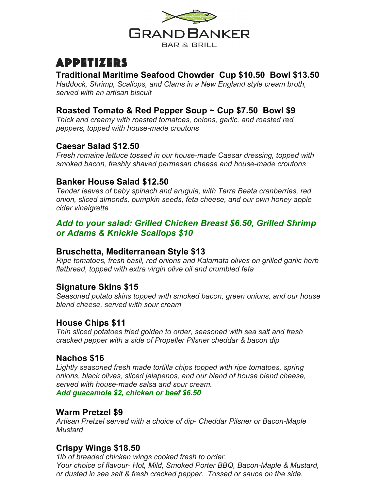

# Appetizers

#### **Traditional Maritime Seafood Chowder Cup \$10.50 Bowl \$13.50**

*Haddock, Shrimp, Scallops, and Clams in a New England style cream broth, served with an artisan biscuit*

## **Roasted Tomato & Red Pepper Soup ~ Cup \$7.50 Bowl \$9**

*Thick and creamy with roasted tomatoes, onions, garlic, and roasted red peppers, topped with house-made croutons*

## **Caesar Salad \$12.50**

*Fresh romaine lettuce tossed in our house-made Caesar dressing, topped with smoked bacon, freshly shaved parmesan cheese and house-made croutons*

## **Banker House Salad \$12.50**

*Tender leaves of baby spinach and arugula, with Terra Beata cranberries, red onion, sliced almonds, pumpkin seeds, feta cheese, and our own honey apple cider vinaigrette*

## *Add to your salad: Grilled Chicken Breast \$6.50, Grilled Shrimp or Adams & Knickle Scallops \$10*

## **Bruschetta, Mediterranean Style \$13**

*Ripe tomatoes, fresh basil, red onions and Kalamata olives on grilled garlic herb flatbread, topped with extra virgin olive oil and crumbled feta*

## **Signature Skins \$15**

*Seasoned potato skins topped with smoked bacon, green onions, and our house blend cheese, served with sour cream*

## **House Chips \$11**

*Thin sliced potatoes fried golden to order, seasoned with sea salt and fresh cracked pepper with a side of Propeller Pilsner cheddar & bacon dip*

## **Nachos \$16**

*Lightly seasoned fresh made tortilla chips topped with ripe tomatoes, spring onions, black olives, sliced jalapenos, and our blend of house blend cheese, served with house-made salsa and sour cream. Add guacamole \$2, chicken or beef \$6.50*

#### **Warm Pretzel \$9**

*Artisan Pretzel served with a choice of dip- Cheddar Pilsner or Bacon-Maple Mustard*

## **Crispy Wings \$18.50**

*1lb of breaded chicken wings cooked fresh to order. Your choice of flavour- Hot, Mild, Smoked Porter BBQ, Bacon-Maple & Mustard, or dusted in sea salt & fresh cracked pepper. Tossed or sauce on the side.*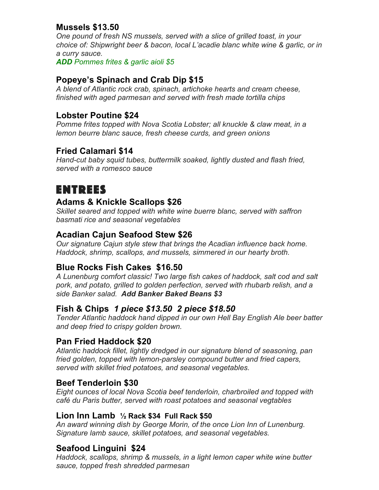## **Mussels \$13.50**

*One pound of fresh NS mussels, served with a slice of grilled toast, in your choice of: Shipwright beer & bacon, local L'acadie blanc white wine & garlic, or in a curry sauce.*

*ADD Pommes frites & garlic aioli \$5*

#### **Popeye's Spinach and Crab Dip \$15**

*A blend of Atlantic rock crab, spinach, artichoke hearts and cream cheese, finished with aged parmesan and served with fresh made tortilla chips*

#### **Lobster Poutine \$24**

*Pomme frites topped with Nova Scotia Lobster; all knuckle & claw meat, in a lemon beurre blanc sauce, fresh cheese curds, and green onions*

## **Fried Calamari \$14**

*Hand-cut baby squid tubes, buttermilk soaked, lightly dusted and flash fried, served with a romesco sauce*

## **ENTREES**

#### **Adams & Knickle Scallops \$26**

*Skillet seared and topped with white wine buerre blanc, served with saffron basmati rice and seasonal vegetables*

#### **Acadian Cajun Seafood Stew \$26**

*Our signature Cajun style stew that brings the Acadian influence back home. Haddock, shrimp, scallops, and mussels, simmered in our hearty broth.* 

## **Blue Rocks Fish Cakes \$16.50**

*A Lunenburg comfort classic! Two large fish cakes of haddock, salt cod and salt pork, and potato, grilled to golden perfection, served with rhubarb relish, and a side Banker salad. Add Banker Baked Beans \$3*

#### **Fish & Chips** *1 piece \$13.50 2 piece \$18.50*

*Tender Atlantic haddock hand dipped in our own Hell Bay English Ale beer batter and deep fried to crispy golden brown.*

#### **Pan Fried Haddock \$20**

*Atlantic haddock fillet, lightly dredged in our signature blend of seasoning, pan fried golden, topped with lemon-parsley compound butter and fried capers, served with skillet fried potatoes, and seasonal vegetables.*

#### **Beef Tenderloin \$30**

*Eight ounces of local Nova Scotia beef tenderloin, charbroiled and topped with café du Paris butter, served with roast potatoes and seasonal vegtables*

#### **Lion Inn Lamb ½ Rack \$34 Full Rack \$50**

*An award winning dish by George Morin, of the once Lion Inn of Lunenburg. Signature lamb sauce, skillet potatoes, and seasonal vegetables.*

#### **Seafood Linguini \$24**

*Haddock, scallops, shrimp & mussels, in a light lemon caper white wine butter sauce, topped fresh shredded parmesan*